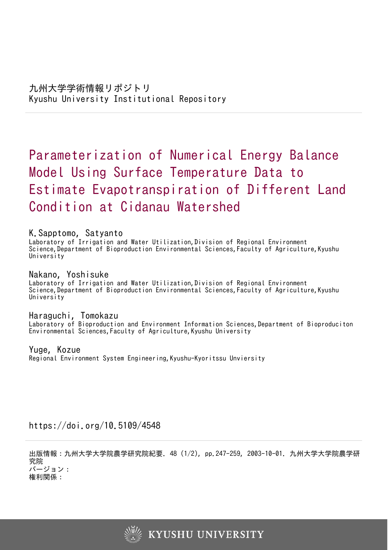# Parameterization of Numerical Energy Balance Model Using Surface Temperature Data to Estimate Evapotranspiration of Different Land Condition at Cidanau Watershed

# K.Sapptomo, Satyanto

Laboratory of Irrigation and Water Utilization,Division of Regional Environment Science,Department of Bioproduction Environmental Sciences,Faculty of Agriculture,Kyushu University<sup>1</sup>

Nakano, Yoshisuke Laboratory of Irrigation and Water Utilization,Division of Regional Environment Science, Department of Bioproduction Environmental Sciences, Faculty of Agriculture, Kyushu University

# Haraguchi, Tomokazu

Laboratory of Bioproduction and Environment Information Sciences,Department of Bioproduciton Environmental Sciences,Faculty of Agriculture,Kyushu University

Yuge, Kozue

Regional Environment System Engineering,Kyushu-Kyoritssu Unviersity

https://doi.org/10.5109/4548

出版情報:九州大学大学院農学研究院紀要. 48 (1/2), pp.247-259, 2003-10-01. 九州大学大学院農学研 究院 バージョン: 権利関係:

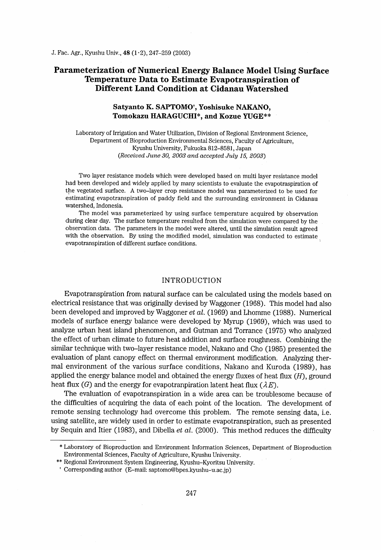## Parameterization of Numerical Energy Balance Model Using Surface Temperature Data to Estimate Evapotranspiration of Different Land Condition at Cidanau Watershed

### Satyanto K. SAPTOMO<sup>t</sup>, Yoshisuke NAKANO, Tomokazu HARAGUCHI\*, and Kozue YUGE\*\*

Laboratory of Irrigation and Water Utilization, Division of Regional Environment Science, Department of Bioproduction Environmental Sciences, Faculty of Agriculture, Kyushu University, Fukuoka 812-8581 , Japan (Received June 30, 2003 and accepted July 15, 2003)

Two layer resistance models which were developed based on multi layer resistance model had been developed and widely applied by many scientists to evaluate the evapotraspiration of the vegetated surface. A two-layer crop resistance model was parameterized to be used for estimating evapotranspiration of paddy field and the surrounding environment in Cidanau watershed, Indonesia.

The model was parameterized by using surface temperature acquired by observation during clear day. The surface temperature resulted from the simulation were compared by the observation data. The parameters in the model were altered, until the sirnulation result agreed with the observation. By using the modified model, simulation was conducted to estimate evapotranspiration of different surface conditions. '

#### INTRODUCTION

Evapotranspiration from natural surface can be calculated using the models based on electrical resistance that was originally devised by Waggoner (1968). This model had also been developed and improved by Waggoner et  $al.$  (1969) and Lhomme (1988). Numerical models of surface energy balance were developed by Myrup (1969), which was used to analyze urban heat island phenomenon, and Gutman and Torrance (1975) who analyzed the effect of urban climate to future heat addition and surface roughness. Combining the similar technique with two-layer resistance model, Nakano and Cho (1985) presented the evaluation of plant canopy effect on thermal environment modiflcation. Analyzing thermal environment of the various surface conditions, Nakano and Kuroda (1989), has applied the energy balance model and obtained the energy fluxes of heat flux  $(H)$ , ground heat flux (G) and the energy for evapotranpiration latent heat flux ( $\lambda E$ ).

The evaluation of evapotranspiration in a wide area can be troublesome because of the difficulties of acquiring the data of each point of the location. The development of remote sensing technology had overcome this problem. The remote sensing data, i.e. using satellite, are widely used in order to estimate evapotranspiration, such as presented by Sequin and Itier (1983), and Dibella et al. (2000). This method reduces the difficulty

<sup>\*</sup> Laboratory of Bioproduction and Environment Information Sciences, Department of Bioproduction Environmental Sciences, Faculty of Agriculture, Kyushu University.

<sup>\*\*</sup> Regional Environment System Engineering, Kyushu-Kyoritsu University.

<sup>+</sup> Corresponding author (E-mail: saptomo@bpes,kyushu-u.ac,jp)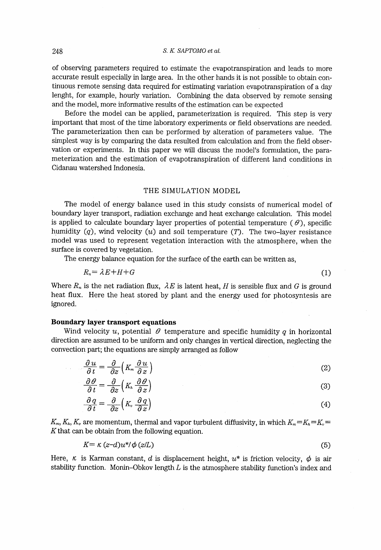of observing parameters required to estimate the evapotranspiration and leads to more accurate result especially in large area. In the other hands it is not possible to obtain continuous remote sensing data required for estimating variation evapotranspiration of a day lenght, for example, hourly variation. Combining the data observed by remote sensing and the model, more informative results of the estimation can be expected

Before the model can be applied, parameterization is required. This step is very important that most of the time laboratory experiments or field observations are needed. The parameterization then can be performed by alteration of parameters value. The simplest way is by comparing the data resulted from calculation and from the field observation or experiments. In this paper we will discuss the model's formulation, the parameterization and the estimation of evapotranspiration of different land conditions in Cidanau watershed Indonesia.

#### THE SIMULATION MODEL

The model of energy balance used in this study consists of numerical model of boundary layer transport, radiation exchange and heat exchange calculation. This model is applied to calculate boundary layer properties of potential temperature ( $\theta$ ), specific humidity  $(q)$ , wind velocity  $(u)$  and soil temperature  $(T)$ . The two-layer resistance model was used to represent vegetation interaction with the atmosphere, when the surface is covered by vegetation.

The energy balance equation for the surface of the earth can be written as,

$$
R_n = \lambda E + H + G
$$

Where  $R_{\tau}$  is the net radiation flux,  $\lambda E$  is latent heat, H is sensible flux and G is ground The energy balance equation for the surface of the earth can be written as,<br>  $R_n = \lambda E + H + G$  (1)<br>
Where  $R_n$  is the net radiation flux,  $\lambda E$  is latent heat, H is sensible flux and G is ground<br>
heat flux. Here the heat store ignored.

#### Boumdary layer transport equations

Wind velocity u, potential  $\theta$  temperature and specific humidity q in horizontal direction are assumed to be uniform and only changes in vertical direction, neglecting the convection part; the equations are simply arranged as follow

a part; the equations are simply arranged as follow  
\n
$$
\frac{\partial u}{\partial t} = \frac{\partial}{\partial z} \left( K_m \frac{\partial u}{\partial z} \right)
$$
\n
$$
\frac{\partial \theta}{\partial t} = \frac{\partial}{\partial z} \left( K_h \frac{\partial \theta}{\partial z} \right)
$$
\n(2)

$$
\frac{\partial \theta}{\partial t} = \frac{\partial}{\partial z} \left( K_m \frac{\partial \theta}{\partial z} \right)
$$
(2)  

$$
\frac{\partial \theta}{\partial t} = \frac{\partial}{\partial z} \left( K_n \frac{\partial \theta}{\partial z} \right)
$$
(3)  

$$
\frac{\partial q}{\partial t} = \frac{\partial}{\partial z} \left( K_v \frac{\partial q}{\partial z} \right)
$$
(4)  
are momentum, thermal and vapor turbulent diffusivity, in which  $K_m = K_h = K_v =$   
the obtain from the following equation.

$$
\frac{\partial q}{\partial t} = \frac{\partial}{\partial z} \left( K_v \frac{\partial q}{\partial z} \right) \tag{4}
$$

 $K_{m}, K_{h}, K_{n}$  are momentum, thermal and vapor turbulent diffusivity, in which  $K_{m} =K_{h} =K_{h}$ K that can be obtain from the following equation.

$$
K = \kappa (z - d)u^* / \phi (z/L) \tag{5}
$$

Here,  $\kappa$  is Karman constant, d is displacement height,  $u^*$  is friction velocity,  $\phi$  is air stability function. Monin-Obkov length  $L$  is the atmosphere stability function's index and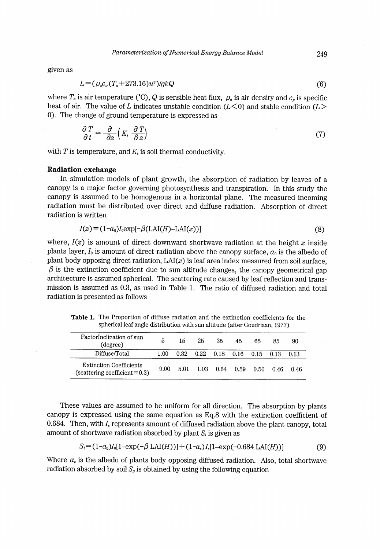given as

$$
L = (\rho_a c_p (T_a + 273.16) u^3) / g k Q \tag{6}
$$

where  $T_a$  is air temperature (°C), Q is sensible heat flux,  $\rho_a$  is air density and  $c_p$  is specific heat of air. The value of L indicates unstable condition ( $L < 0$ ) and stable condition ( $L >$ O). The change of ground temperature is expressed as

$$
\frac{\partial T}{\partial t} = \frac{\partial}{\partial z} \left( K_s \frac{\partial T}{\partial z} \right) \tag{7}
$$
\n
$$
\text{temperature, and } K_s \text{ is soil thermal conductivity.}
$$

with  $T$  is temperature, and  $K_s$  is soil thermal conductivity.

#### Radiation exchange

In simulation models of plant growih, the absorption of radiation by leaves of a canopy is a major factor governing photosynthesis and transpiration. In this study the canopy is assumed to be homogenous in a horizontal plane. The measured incoming radiation must be distributed over direct and diffuse radiation. Absorption of direct radiation is written

$$
I(z) = (1 - a0)I0 exp[-\beta(LAI(H) - LAI(z))]
$$
\n(8)

where,  $I(z)$  is amount of direct downward shortwave radiation at the height z inside plants layer,  $I_0$  is amount of direct radiation above the canopy surface,  $a_0$  is the albedo of plant body opposing direct radiation,  $LAI(z)$  is leaf area index measured from soil surface,  $\beta$  is the extinction coefficient due to sun altitude changes, the canopy geometrical gap architecture is assumed spherical. The scattering rate caused by leaf reflection and transmission is assumed as 0.3, as used in Table 1. The ratio of diffused radiation and total radiation is presented as follows

Table 1. The Proportion of diffuse radiation and the extinction coefficients for the spherical leaf angle distribution with sun altitude (after Goudriaan, 1977)

| FactorInclination of sun<br>(degree)                                | 5     | 15   | 25                                        | 35 | 45 | 65   | 85   | 90     |
|---------------------------------------------------------------------|-------|------|-------------------------------------------|----|----|------|------|--------|
| Diffuse/Total                                                       | 1.00. |      | $0.32$ $0.22$ $0.18$ $0.16$ $0.15$ $0.13$ |    |    |      |      | - 0.13 |
| <b>Extinction Coefficients</b><br>(scattering coefficient $= 0.3$ ) | 9.00  | 5.01 | 1.03  0.64  0.59                          |    |    | 0.50 | 0.46 | 0.46   |

These values are assumed to be uniform for all direction. The absorption by plants canopy is expressed using the same equation as Eq.8 with the extinction coefficient of 0.684. Then, with  $I_s$  represents amount of diffused radiation above the plant canopy, total amount of shortwave radiation absorbed by plant  $S_t$  is given as

$$
S_i = (1 - a_g)I_0[1 - \exp(-\beta \operatorname{LAI}(H))] + (1 - a_s)I_s[1 - \exp(-0.684 \operatorname{LAI}(H))]
$$
(9)

Where  $a_s$  is the albedo of plants body opposing diffused radiation. Also, total shortwave radiation absorbed by soil  $S<sub>g</sub>$  is obtained by using the following equation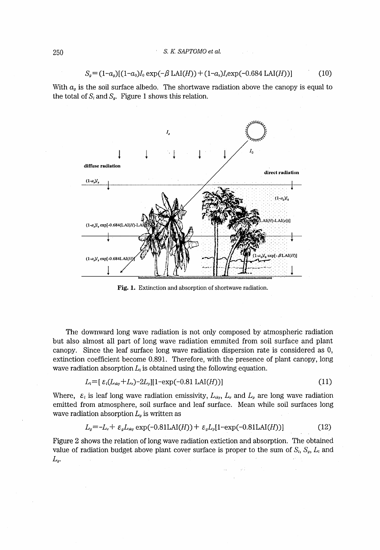$$
S_g = (1 - a_g)[(1 - a_g)I_0 \exp(-\beta \text{ LAI}(H)) + (1 - a_s)I_s \exp(-0.684 \text{ LAI}(H))]
$$
(10)

With  $a<sub>g</sub>$  is the soil surface albedo. The shortwave radiation above the canopy is equal to the total of  $S_i$  and  $S_g$ . Figure 1 shows this relation.



Fig. 1. Extinction and absorption of shortwave radiation.

The downward long wave radiation is not only composed by atmospheric radiation but also almost all part of long wave radiation emmited from soil surface and plant canopy. Since the leaf surface long wave radiation dispersion rate is considered as O, extinction coefficient become 0.891. Therefore, with the presence of plant canopy, Iong wave radiation absorption  $L_t$  is obtained using the following equation.

$$
L_i = [\varepsilon_i (L_{\text{sky}} + L_e) - 2L_p][1 - \exp(-0.81 \text{ LAI}(H))]
$$
\n(11)

Where,  $\varepsilon_l$  is leaf long wave radiation emissivity,  $L_{\text{sky}}$ ,  $L_e$  and  $L_p$  are long wave radiation ernitted from atmosphere, soil surface and leaf surface. Mean while soil surfaces long wave radiation absorption  $L<sub>g</sub>$  is written as

$$
Lg = -Le + \varepsilongLsky exp(-0.81LAI(H)) + \varepsilongLp[1-exp(-0.81LAI(H))]
$$
 (12)

Figure 2 shows the relation of long wave radiation extiction and absorption. The obtained value of radiation budget above plant cover surface is proper to the sum of  $S_i$ ,  $S_g$ ,  $L_i$  and  $L_g$ .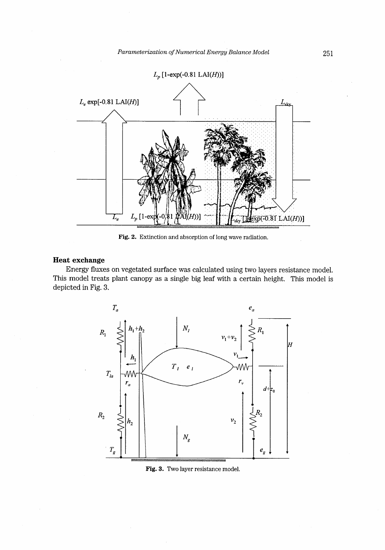

Fig. 2. Extinction and absorption of long wave radiation.

## Heat exchange

Energy fluxes on vegetated surface was calculated using two layers resistance model. This model treats plant canopy as a single big leaf with a certain height. This model is depicted in Fig. 3.



Fig. 3. Two layer resistance model.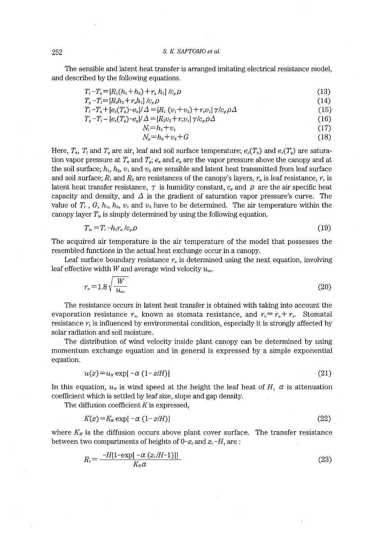#### 252 S. K. SAPTOMO et al.

The sensible and latent heat transfer is arranged imitating electrical resistance model, and described by the following equations.

| $T_i - T_a = [R_1(h_1 + h_2) + r_a h_1]/c_p \rho$                                                                        | (13) |
|--------------------------------------------------------------------------------------------------------------------------|------|
| $T_a - T_l = [R_2 h_2 + r_a h_1] / c_n \rho$                                                                             | (14) |
| $T_l$ – $T_a$ + [e,(T,) – e,]/ $\varDelta$ = [R <sub>1</sub> ( $v_1$ + $v_2$ ) + $r_v v_1$ ] $\gamma/c_v \rho \varDelta$ | (15) |
| $T_a - T_l - [e_s(T_a) - e_a]/\Delta = [R_2v_2 + r_vv_1]\,\gamma/c_v\rho\Delta$                                          | (16) |
| $N = h_1 + v_1$                                                                                                          | (17) |
| $N_a = h_2 + v_2 + G$                                                                                                    | (18) |
|                                                                                                                          |      |

$$
N_s = h_2 + v_2 + G \tag{18}
$$

Here,  $T_a$ ,  $T_i$  and  $T_g$  are air, leaf and soil surface temperature;  $e_s(T_a)$  and  $e_s(T_g)$  are saturation vapor pressure at  $T_a$  and  $T_s$ ;  $e_a$  and  $e_g$  are the vapor pressure above the canopy and at the soil surface;  $h_1$ ,  $h_2$ ,  $v_1$  and  $v_2$  are sensible and latent heat transmitted from leaf surface and soil surface;  $R_1$  and  $R_2$  are resistances of the canopy's layers,  $r_a$  is leaf resistance,  $r_v$  is latent heat transfer resistance,  $\gamma$  is humidity constant,  $c_p$  and  $\rho$  are the air specific heat capacity and density, and  $\Delta$  is the gradient of saturation vapor pressure's curve. The value of  $T_1$ ,  $G$ ,  $h_1$ ,  $h_2$ ,  $v_1$  and  $v_2$  have to be determined. The air temperature within the canopy layer  $T_{\mu}$  is simply determined by using the following equation.

$$
T_a = T_l - h_l r_a / c_p \rho \tag{19}
$$

The acquired air temperature is the air temperature of the model that possesses the resembled functions in the actual heat exchange occur in a canopy.

Leaf surface boundary resistance  $r_a$  is determined using the next equation, involving leaf effective width W and average wind velocity  $u_{av}$ .

$$
r_a = 1.8 \sqrt{\frac{W}{u_{av}}} \tag{20}
$$

The resistance occurs in latent heat transfer is obtained with taking into account the evaporation resistance  $r_s$ , known as stomata resistance, and  $r_v = r_a + r_s$ . Stomatal resistance  $r<sub>s</sub>$  is influenced by environmental condition, especially it is strongly affected by solar radiation and soil moisture.

The distribution of wind velocity inside plant canopy can be determined by using momentum exchange equation and in general is expressed by a simple exponential equation.

$$
u(z) = uH \exp[-\alpha (1 - z/H)] \tag{21}
$$

In this equation,  $u_{\rm H}$  is wind speed at the height the leaf heat of H,  $\alpha$  is attenuation coefficient which is settled by leaf size, slope and gap density.

The diffusion coefficient  $K$  is expressed,

$$
K(z) = KH \exp[-\alpha (1 - z/H)] \tag{22}
$$

where  $K_H$  is the diffusion occurs above plant cover surface. The transfer resistance between two compartments of heights of  $0-z_i$  and  $z_i-H$ , are :

$$
R_1 = \frac{-H\{1 - \exp[-\alpha (z_1/H - 1)]\}}{K_H \alpha} \tag{23}
$$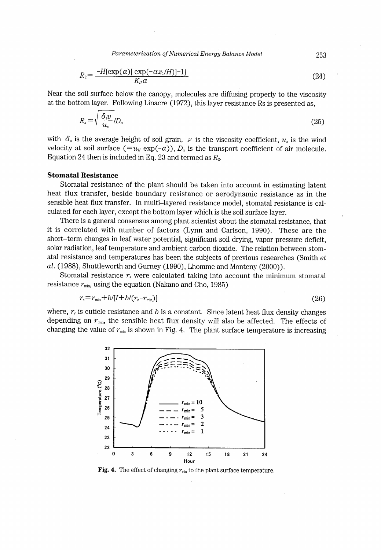Parameterization of Numerical Energy Balance Model 253

$$
R_2 = \frac{-H(\exp(\alpha)[\exp(-\alpha z_1/H)]-1]}{K_n \alpha} \tag{24}
$$

Near the soil surface below the canopy, molecules are diffusing properly to the viscosity at the bottom layer. Following Linacre (1972), this layer resistance Rs is presented as,

$$
R_s = \sqrt{\frac{\delta_{s}v}{u_s}} / D_a \tag{25}
$$

with  $\delta$ , is the average height of soil grain,  $\nu$  is the viscosity coefficient,  $u$ , is the wind velocity at soil surface  $(=u_{ll} \exp(-\alpha))$ ,  $D_{\alpha}$  is the transport coefficient of air molecule. Equation 24 then is included in Eq. 23 and termed as  $R_2$ .

#### Stomatal Resistance

Stomatal resistance of the plant should be taken into account in estimating latent heat flux transfer, beside boundary resistance or aerodynamic resistance as in the sensible heat flux transfer. In multi-1ayered resistance model, stomatal resistance is calculated for each layer, except the bottom layer which is the soil surface layer.

There is a general consensus among plant scientist about the stomatal resistance, that it is correlated with number of factors (Lynn and Carlson, 1990). These are the short-term changes in leaf water potential, significant soil drying, vapor pressure deficit, solar radiation, Ieaf temperature and ambient carbon dioxide. The relation between stomatal resistance and temperatures has been the subjects of previous researches (Smith et  $al.$  (1988), Shuttleworth and Gurney (1990), Lhomme and Monteny (2000)).

Stomatal resistance  $r_s$  were calculated taking into account the minimum stomatal resistance  $r_{min}$ , using the equation (Nakano and Cho, 1985)

$$
r_s = r_{\min} + b/[I + b/(r_c - r_{\min})]
$$
\n<sup>(26)</sup>

 $r_s = r_{min} + b/[I + b/(r_c - r_{min})]$  (26)<br>where,  $r_c$  is cuticle resistance and b is a constant. Since latent heat flux density changes depending on  $r_{\text{min}}$ , the sensible heat flux density will also be affected. The effects of changing the value of  $r_{min}$  is shown in Fig. 4. The plant surface temperature is increasing



Fig. 4. The effect of changing  $r_{min}$  to the plant surface temperature.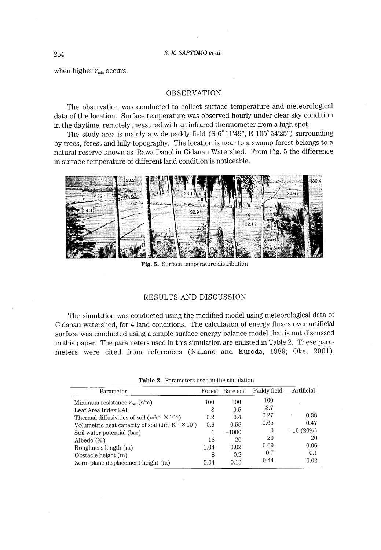when higher  $r_{min}$  occurs.

#### OBSERVATION

The observation was conducted to collect surface temperature and meteorological data of the location. Surface temperature was observed hourly under clear sky condition in the daytime, remotely measured with an infrared thermometer from a high spot.

The study area is mainly a wide paddy field (S  $6^{\circ}11'49''$ , E  $105^{\circ}54'25''$ ) surrounding by trees, forest and hilly topography. The location is near to a swamp forest belongs to a natural reserve known as 'Rawa Dano' in Cidanau Watershed. From Fig. 5 the difference in surface temperature of different land condition is noticeable.



Fig. 5. Surface temperature distribution

#### RESULTS AND DISCUSSION

The simulation was conducted using the modified model using meteorological data of Cidanau watershed, for 4 Iand conditions. The calculation of energy fluxes over artificial surface was conducted using a simple surface energy balance model that is not discussed in this paper. The parameters used in this simulation are enlisted in Table 2. These parameters were cited from references (Nakano and Kuroda, 1989; Oke, 2001),

|  | <b>Table 2.</b> Parameters used in the simulation |  |  |  |
|--|---------------------------------------------------|--|--|--|
|--|---------------------------------------------------|--|--|--|

| Parameter                                                      |      | Forest Bare soil | Paddy field | Artificial |
|----------------------------------------------------------------|------|------------------|-------------|------------|
| Minimum resistance $r_{\text{min}}$ (s/m)                      | 100  | 300              | 100         |            |
| Leaf Area Index LAI                                            | 8    | 0.5              | 3.7         |            |
| Thermal diffusivities of soil $(m^2s^{-1} \times 10^{-6})$     | 0.2  | 0.4              | 0.27        | 0.38       |
| Volumetric heat capacity of soil $(Jm^{-1}K^{-1} \times 10^6)$ | 0.6  | 0.55             | 0.65        | 0.47       |
| Soil water potential (bar)                                     | $-1$ | $-1000$          | $\theta$    | $-10(20%)$ |
| Albedo $(\%)$                                                  | 15   | 20               | 20          | 20         |
| Roughness length (m)                                           | 1.04 | 0.02             | 0.09        | 0.06       |
| Obstacle height (m)                                            | 8    | 0.2              | 0.7         | 0.1        |
| Zero-plane displacement height (m)                             | 5.04 | 0.13             | 0.44        | 0.02       |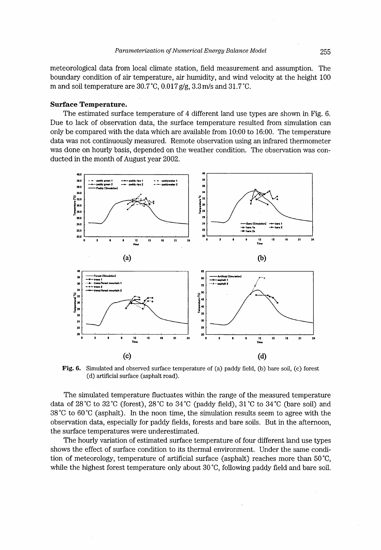meteorological data from local climate station, field measurement and assurnption. The boundary condition of air temperature, air humidity, and wind velocity at the height 100 m and soil temperature are  $30.7^{\circ}$ C,  $0.017$  g/g,  $3.3$  m/s and  $31.7^{\circ}$ C.

#### Surface Temperature.

The estirnated surface temperature of 4 different land use types are shown in Fig. 6. Due to lack of observation data, the surface temperature resulted from simulation can only be compared with the data which are available from 10:OO to 16:OO. The temperature data was not continuously measured. Remote observation using an infrared thermometer was done on hourly basis, depended on the weather condition. The observation was conducted in the month of August year 2002.



Fig. 6. Simulated and observed surface temperature of (a) paddy field, (b) bare soil, (c) forest

The simulated temperature fluctuates within the range of the measured temperature data of 28°C to 32°C (forest), 28°C to 34°C (paddy field), 31°C to 34°C (bare soil) and  $38^{\circ}$ C to 60<sup>°</sup>C (asphalt). In the noon time, the simulation results seem to agree with the observation data, especially for paddy fields, forests and bare soils. But in the afternoon, the surface temperatures were underestimated.

The hourly variation of estimated surface temperature of four different land use types shows the effect of surface condition to its thermal environment. Under the same condition of meteorology, temperature of artificial surface (asphalt) reaches more than 50'C, while the highest forest temperature only about 30 °C, following paddy field and bare soil.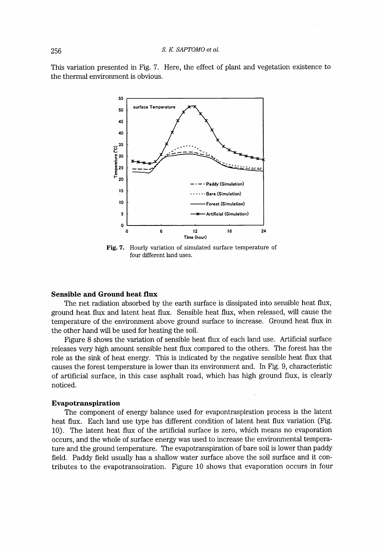This variation presented in Fig. 7. Here, the effect of plant and vegetation existence to the thermal environment is obvious.



Fig. 7. Hourly variation of simulated surface temperature of four different land uses.

#### Sensible and Groumd heat fiux

The net radiation absorbed by the earth surface is dissipated into sensible heat flux, ground heat flux and latent heat flux. Sensible heat flux, when released, will cause the temperature of the environment above ground surface to increase. Ground heat flux in the other hand will be used for heating the soil.

Figure 8 shows the variation of sensible heat flux of each land use. Artificiai surface releases very high amount sensible heat flux compared to the others. The forest has the role as the sink of heat energy. This is indicated by the negative sensible heat flux that causes the forest temperature is lower than its environment and. In Fig. 9, characteristic of artificial surface, in this case asphalt road, which has high ground flux, is clearly noticed.

#### Evapotranspiration

The component of energy balance used for evapontraspiration process is the latent heat flux. Each land use type has different condition of latent heat flux variation (Fig. 10). The latent heat flux of the artificial surface is zero, which means no evaporation occurs, and the whole of surface energy was used to increase the environrnental temperature and the ground temperature. The evapotranspiration of bare soil is lower than paddy field. Paddy field usually has a shallow water surface above the soil surface and it contributes to the evapotransoiration. Figure 10 shows that evaporation occurs in four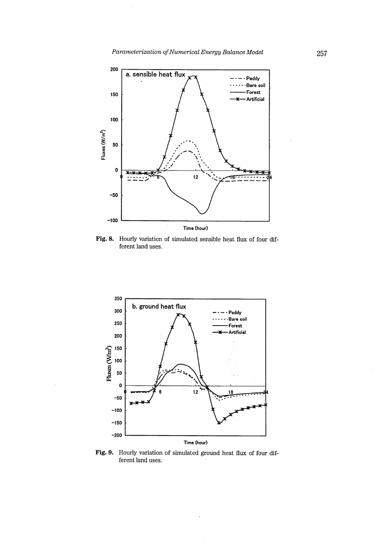Parameterization of Numerical Energy Balance Model 257



**Fig. 8.** Hourly variation of simulated sensible heat flux of four dif ferent land uses.



Fig. 9. Hourly variation of simulated ground heat flux of four different land uses.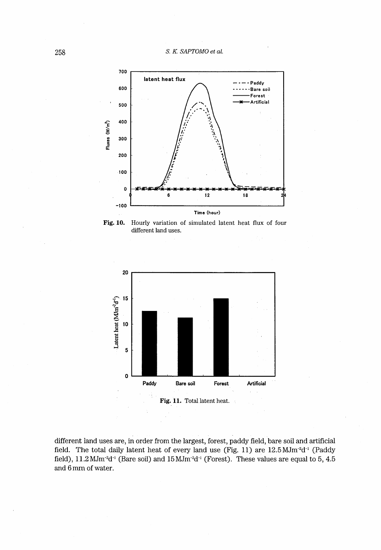258 S. K. SAPTOMO et al.







different land uses are, in order from the largest, forest, paddy field, bare soil and artificial field. The total daily latent heat of every land use (Fig. 11) are 12.5 MJm<sup>-2</sup>d<sup>-1</sup> (Paddy field),  $11.2$  MJm<sup>-2</sup>d<sup>-1</sup> (Bare soil) and  $15$  MJm<sup>-2</sup>d<sup>-1</sup> (Forest). These values are equal to 5, 4.5 and 6 mm of water.